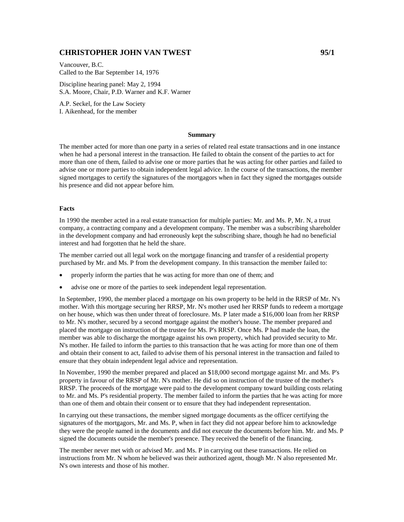# **CHRISTOPHER JOHN VAN TWEST 95/1**

Vancouver, B.C. Called to the Bar September 14, 1976

Discipline hearing panel: May 2, 1994 S.A. Moore, Chair, P.D. Warner and K.F. Warner

A.P. Seckel, for the Law Society I. Aikenhead, for the member

#### **Summary**

The member acted for more than one party in a series of related real estate transactions and in one instance when he had a personal interest in the transaction. He failed to obtain the consent of the parties to act for more than one of them, failed to advise one or more parties that he was acting for other parties and failed to advise one or more parties to obtain independent legal advice. In the course of the transactions, the member signed mortgages to certify the signatures of the mortgagors when in fact they signed the mortgages outside his presence and did not appear before him.

#### **Facts**

In 1990 the member acted in a real estate transaction for multiple parties: Mr. and Ms. P, Mr. N, a trust company, a contracting company and a development company. The member was a subscribing shareholder in the development company and had erroneously kept the subscribing share, though he had no beneficial interest and had forgotten that he held the share.

The member carried out all legal work on the mortgage financing and transfer of a residential property purchased by Mr. and Ms. P from the development company. In this transaction the member failed to:

- properly inform the parties that he was acting for more than one of them; and
- advise one or more of the parties to seek independent legal representation.

In September, 1990, the member placed a mortgage on his own property to be held in the RRSP of Mr. N's mother. With this mortgage securing her RRSP, Mr. N's mother used her RRSP funds to redeem a mortgage on her house, which was then under threat of foreclosure. Ms. P later made a \$16,000 loan from her RRSP to Mr. N's mother, secured by a second mortgage against the mother's house. The member prepared and placed the mortgage on instruction of the trustee for Ms. P's RRSP. Once Ms. P had made the loan, the member was able to discharge the mortgage against his own property, which had provided security to Mr. N's mother. He failed to inform the parties to this transaction that he was acting for more than one of them and obtain their consent to act, failed to advise them of his personal interest in the transaction and failed to ensure that they obtain independent legal advice and representation.

In November, 1990 the member prepared and placed an \$18,000 second mortgage against Mr. and Ms. P's property in favour of the RRSP of Mr. N's mother. He did so on instruction of the trustee of the mother's RRSP. The proceeds of the mortgage were paid to the development company toward building costs relating to Mr. and Ms. P's residential property. The member failed to inform the parties that he was acting for more than one of them and obtain their consent or to ensure that they had independent representation.

In carrying out these transactions, the member signed mortgage documents as the officer certifying the signatures of the mortgagors, Mr. and Ms. P, when in fact they did not appear before him to acknowledge they were the people named in the documents and did not execute the documents before him. Mr. and Ms. P signed the documents outside the member's presence. They received the benefit of the financing.

The member never met with or advised Mr. and Ms. P in carrying out these transactions. He relied on instructions from Mr. N whom he believed was their authorized agent, though Mr. N also represented Mr. N's own interests and those of his mother.